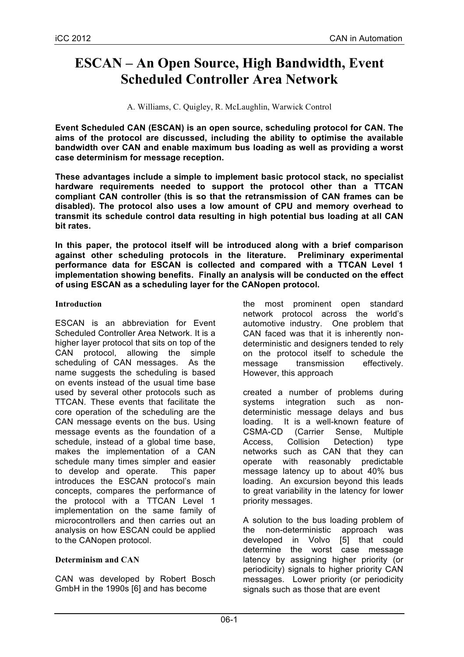# **ESCAN – An Open Source, High Bandwidth, Event Scheduled Controller Area Network**

A. Williams, C. Quigley, R. McLaughlin, Warwick Control

**Event Scheduled CAN (ESCAN) is an open source, scheduling protocol for CAN. The aims of the protocol are discussed, including the ability to optimise the available bandwidth over CAN and enable maximum bus loading as well as providing a worst case determinism for message reception.**

**These advantages include a simple to implement basic protocol stack, no specialist hardware requirements needed to support the protocol other than a TTCAN compliant CAN controller (this is so that the retransmission of CAN frames can be disabled). The protocol also uses a low amount of CPU and memory overhead to transmit its schedule control data resulting in high potential bus loading at all CAN bit rates.**

**In this paper, the protocol itself will be introduced along with a brief comparison against other scheduling protocols in the literature. Preliminary experimental performance data for ESCAN is collected and compared with a TTCAN Level 1 implementation showing benefits. Finally an analysis will be conducted on the effect of using ESCAN as a scheduling layer for the CANopen protocol.**

#### **Introduction**

ESCAN is an abbreviation for Event Scheduled Controller Area Network. It is a higher layer protocol that sits on top of the CAN protocol, allowing the simple scheduling of CAN messages. As the name suggests the scheduling is based on events instead of the usual time base used by several other protocols such as TTCAN. These events that facilitate the core operation of the scheduling are the CAN message events on the bus. Using message events as the foundation of a schedule, instead of a global time base, makes the implementation of a CAN schedule many times simpler and easier to develop and operate. This paper introduces the ESCAN protocol's main concepts, compares the performance of the protocol with a TTCAN Level 1 implementation on the same family of microcontrollers and then carries out an analysis on how ESCAN could be applied to the CANopen protocol.

#### **Determinism and CAN**

CAN was developed by Robert Bosch GmbH in the 1990s [6] and has become

the most prominent open standard network protocol across the world's automotive industry. One problem that CAN faced was that it is inherently nondeterministic and designers tended to rely on the protocol itself to schedule the message transmission effectively. However, this approach

created a number of problems during systems integration such as nondeterministic message delays and bus loading. It is a well-known feature of CSMA-CD (Carrier Sense, Multiple Access, Collision Detection) type networks such as CAN that they can operate with reasonably predictable message latency up to about 40% bus loading. An excursion beyond this leads to great variability in the latency for lower priority messages.

A solution to the bus loading problem of the non-deterministic approach was developed in Volvo [5] that could determine the worst case message latency by assigning higher priority (or periodicity) signals to higher priority CAN messages. Lower priority (or periodicity signals such as those that are event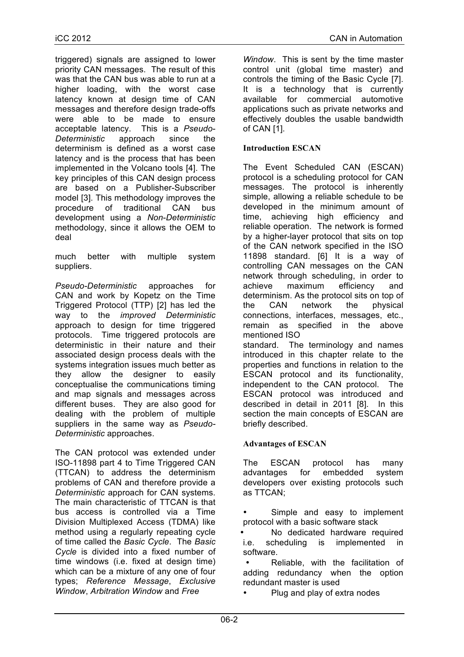triggered) signals are assigned to lower priority CAN messages. The result of this was that the CAN bus was able to run at a higher loading, with the worst case latency known at design time of CAN messages and therefore design trade-offs were able to be made to ensure acceptable latency. This is a *Pseudo*-*Deterministic* approach since the determinism is defined as a worst case latency and is the process that has been implemented in the Volcano tools [4]. The key principles of this CAN design process are based on a Publisher-Subscriber model [3]. This methodology improves the procedure of traditional CAN bus development using a *Non*-*Deterministic* methodology, since it allows the OEM to deal

much better with multiple system suppliers.

*Pseudo-Deterministic* approaches for CAN and work by Kopetz on the Time Triggered Protocol (TTP) [2] has led the way to the *improved Deterministic*  approach to design for time triggered protocols. Time triggered protocols are deterministic in their nature and their associated design process deals with the systems integration issues much better as they allow the designer to easily conceptualise the communications timing and map signals and messages across different buses. They are also good for dealing with the problem of multiple suppliers in the same way as *Pseudo-Deterministic* approaches.

The CAN protocol was extended under ISO-11898 part 4 to Time Triggered CAN (TTCAN) to address the determinism problems of CAN and therefore provide a *Deterministic* approach for CAN systems. The main characteristic of TTCAN is that bus access is controlled via a Time Division Multiplexed Access (TDMA) like method using a regularly repeating cycle of time called the *Basic Cycle*. The *Basic Cycle* is divided into a fixed number of time windows (i.e. fixed at design time) which can be a mixture of any one of four types; *Reference Message*, *Exclusive Window*, *Arbitration Window* and *Free* 

*Window*. This is sent by the time master control unit (global time master) and controls the timing of the Basic Cycle [7]. It is a technology that is currently available for commercial automotive applications such as private networks and effectively doubles the usable bandwidth of CAN [1].

# **Introduction ESCAN**

The Event Scheduled CAN (ESCAN) protocol is a scheduling protocol for CAN messages. The protocol is inherently simple, allowing a reliable schedule to be developed in the minimum amount of time, achieving high efficiency and reliable operation. The network is formed by a higher-layer protocol that sits on top of the CAN network specified in the ISO 11898 standard. [6] It is a way of controlling CAN messages on the CAN network through scheduling, in order to achieve maximum efficiency and determinism. As the protocol sits on top of the CAN network the physical connections, interfaces, messages, etc., remain as specified in the above mentioned ISO standard. The terminology and names introduced in this chapter relate to the properties and functions in relation to the ESCAN protocol and its functionality, independent to the CAN protocol. The ESCAN protocol was introduced and described in detail in 2011 [8]. In this section the main concepts of ESCAN are briefly described.

#### **Advantages of ESCAN**

The ESCAN protocol has many advantages for embedded system developers over existing protocols such as TTCAN;

Simple and easy to implement protocol with a basic software stack

No dedicated hardware required i.e. scheduling is implemented in software.

Reliable, with the facilitation of adding redundancy when the option redundant master is used

• Plug and play of extra nodes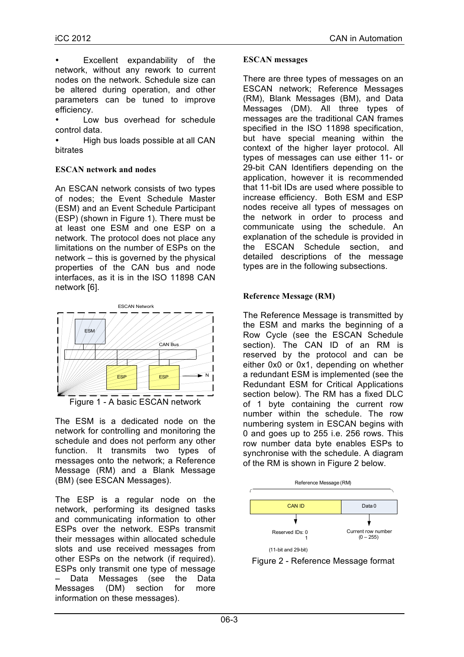- Excellent expandability of the network, without any rework to current nodes on the network. Schedule size can be altered during operation, and other parameters can be tuned to improve efficiency.
- Low bus overhead for schedule control data.
- High bus loads possible at all CAN bitrates

# **ESCAN network and nodes**

An ESCAN network consists of two types of nodes; the Event Schedule Master (ESM) and an Event Schedule Participant (ESP) (shown in Figure 1). There must be at least one ESM and one ESP on a network. The protocol does not place any limitations on the number of ESPs on the network – this is governed by the physical properties of the CAN bus and node interfaces, as it is in the ISO 11898 CAN network [6].





The ESM is a dedicated node on the network for controlling and monitoring the schedule and does not perform any other function. It transmits two types of messages onto the network; a Reference Message (RM) and a Blank Message (BM) (see ESCAN Messages).

The ESP is a regular node on the network, performing its designed tasks and communicating information to other ESPs over the network. ESPs transmit their messages within allocated schedule slots and use received messages from other ESPs on the network (if required). ESPs only transmit one type of message Data Messages (see the Data Messages (DM) section for more information on these messages).

# **ESCAN messages**

There are three types of messages on an ESCAN network; Reference Messages (RM), Blank Messages (BM), and Data Messages (DM). All three types of messages are the traditional CAN frames specified in the ISO 11898 specification, but have special meaning within the context of the higher layer protocol. All types of messages can use either 11- or 29-bit CAN Identifiers depending on the application, however it is recommended that 11-bit IDs are used where possible to increase efficiency. Both ESM and ESP nodes receive all types of messages on the network in order to process and communicate using the schedule. An explanation of the schedule is provided in the ESCAN Schedule section, and detailed descriptions of the message types are in the following subsections.

# **Reference Message (RM)**

The Reference Message is transmitted by the ESM and marks the beginning of a Row Cycle (see the ESCAN Schedule section). The CAN ID of an RM is reserved by the protocol and can be either 0x0 or 0x1, depending on whether a redundant ESM is implemented (see the Redundant ESM for Critical Applications section below). The RM has a fixed DLC of 1 byte containing the current row number within the schedule. The row numbering system in ESCAN begins with 0 and goes up to 255 i.e. 256 rows. This row number data byte enables ESPs to synchronise with the schedule. A diagram of the RM is shown in Figure 2 below.



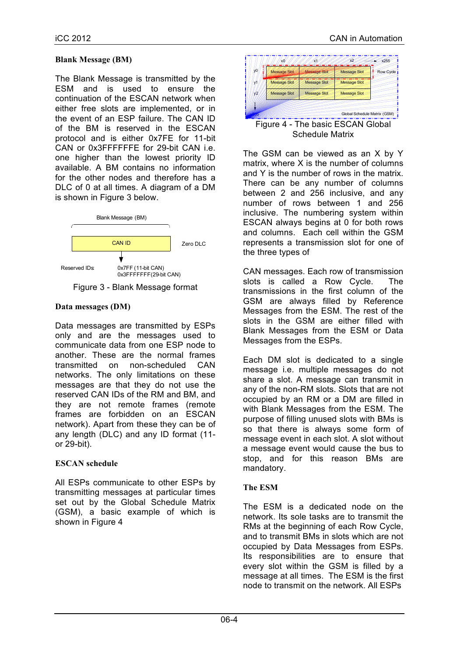# **Blank Message (BM)**

The Blank Message is transmitted by the ESM and is used to ensure the continuation of the ESCAN network when either free slots are implemented, or in the event of an ESP failure. The CAN ID of the BM is reserved in the ESCAN protocol and is either 0x7FE for 11-bit CAN or 0x3FFFFFFE for 29-bit CAN i.e. one higher than the lowest priority ID available. A BM contains no information for the other nodes and therefore has a DLC of 0 at all times. A diagram of a DM is shown in Figure 3 below.



Figure 3 - Blank Message format

#### **Data messages (DM)**

Data messages are transmitted by ESPs only and are the messages used to communicate data from one ESP node to another. These are the normal frames transmitted on non-scheduled CAN networks. The only limitations on these messages are that they do not use the reserved CAN IDs of the RM and BM, and they are not remote frames (remote frames are forbidden on an ESCAN network). Apart from these they can be of any length (DLC) and any ID format (11 or 29-bit).

#### **ESCAN schedule**

All ESPs communicate to other ESPs by transmitting messages at particular times set out by the Global Schedule Matrix (GSM), a basic example of which is shown in Figure 4



Schedule Matrix

The GSM can be viewed as an X by Y matrix, where X is the number of columns and Y is the number of rows in the matrix. There can be any number of columns between 2 and 256 inclusive, and any number of rows between 1 and 256 inclusive. The numbering system within ESCAN always begins at 0 for both rows and columns. Each cell within the GSM represents a transmission slot for one of the three types of

CAN messages. Each row of transmission slots is called a Row Cycle. The transmissions in the first column of the GSM are always filled by Reference Messages from the ESM. The rest of the slots in the GSM are either filled with Blank Messages from the ESM or Data Messages from the ESPs.

Each DM slot is dedicated to a single message i.e. multiple messages do not share a slot. A message can transmit in any of the non-RM slots. Slots that are not occupied by an RM or a DM are filled in with Blank Messages from the ESM. The purpose of filling unused slots with BMs is so that there is always some form of message event in each slot. A slot without a message event would cause the bus to stop, and for this reason BMs are mandatory.

# **The ESM**

The ESM is a dedicated node on the network. Its sole tasks are to transmit the RMs at the beginning of each Row Cycle, and to transmit BMs in slots which are not occupied by Data Messages from ESPs. Its responsibilities are to ensure that every slot within the GSM is filled by a message at all times. The ESM is the first node to transmit on the network. All ESPs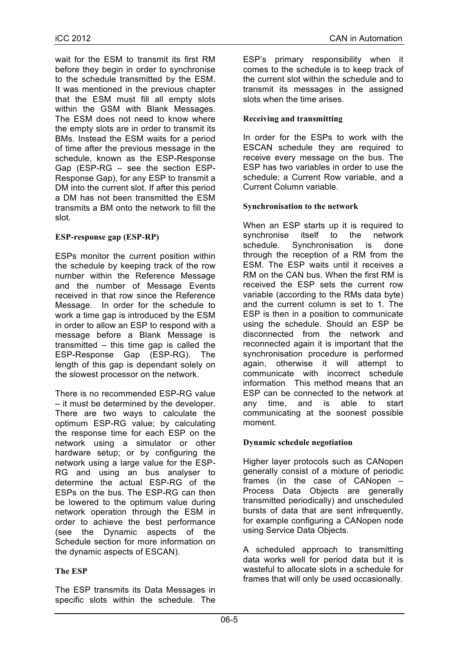wait for the ESM to transmit its first RM before they begin in order to synchronise to the schedule transmitted by the ESM. It was mentioned in the previous chapter that the ESM must fill all empty slots within the GSM with Blank Messages. The ESM does not need to know where the empty slots are in order to transmit its BMs. Instead the ESM waits for a period of time after the previous message in the schedule, known as the ESP-Response Gap (ESP-RG – see the section ESP-Response Gap), for any ESP to transmit a DM into the current slot. If after this period a DM has not been transmitted the ESM transmits a BM onto the network to fill the slot.

# **ESP-response gap (ESP-RP)**

ESPs monitor the current position within the schedule by keeping track of the row number within the Reference Message and the number of Message Events received in that row since the Reference Message. In order for the schedule to work a time gap is introduced by the ESM in order to allow an ESP to respond with a message before a Blank Message is transmitted – this time gap is called the ESP-Response Gap (ESP-RG). The length of this gap is dependant solely on the slowest processor on the network.

There is no recommended ESP-RG value – it must be determined by the developer. There are two ways to calculate the optimum ESP-RG value; by calculating the response time for each ESP on the network using a simulator or other hardware setup; or by configuring the network using a large value for the ESP-RG and using an bus analyser to determine the actual ESP-RG of the ESPs on the bus. The ESP-RG can then be lowered to the optimum value during network operation through the ESM in order to achieve the best performance (see the Dynamic aspects of the Schedule section for more information on the dynamic aspects of ESCAN).

# **The ESP**

The ESP transmits its Data Messages in specific slots within the schedule. The ESP's primary responsibility when it comes to the schedule is to keep track of the current slot within the schedule and to transmit its messages in the assigned slots when the time arises.

# **Receiving and transmitting**

In order for the ESPs to work with the ESCAN schedule they are required to receive every message on the bus. The ESP has two variables in order to use the schedule; a Current Row variable, and a Current Column variable.

#### **Synchronisation to the network**

When an ESP starts up it is required to synchronise itself to the network schedule. Synchronisation is done through the reception of a RM from the ESM. The ESP waits until it receives a RM on the CAN bus. When the first RM is received the ESP sets the current row variable (according to the RMs data byte) and the current column is set to 1. The ESP is then in a position to communicate using the schedule. Should an ESP be disconnected from the network and reconnected again it is important that the synchronisation procedure is performed again, otherwise it will attempt to communicate with incorrect schedule information. This method means that an ESP can be connected to the network at any time, and is able to start communicating at the soonest possible moment.

# **Dynamic schedule negotiation**

Higher layer protocols such as CANopen generally consist of a mixture of periodic frames (in the case of CANopen – Process Data Objects are generally transmitted periodically) and unscheduled bursts of data that are sent infrequently, for example configuring a CANopen node using Service Data Objects.

A scheduled approach to transmitting data works well for period data but it is wasteful to allocate slots in a schedule for frames that will only be used occasionally.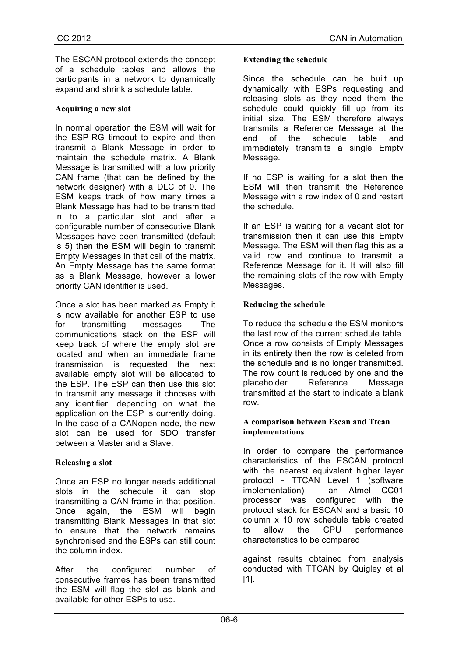The ESCAN protocol extends the concept of a schedule tables and allows the participants in a network to dynamically expand and shrink a schedule table.

#### **Acquiring a new slot**

In normal operation the ESM will wait for the ESP-RG timeout to expire and then transmit a Blank Message in order to maintain the schedule matrix. A Blank Message is transmitted with a low priority CAN frame (that can be defined by the network designer) with a DLC of 0. The ESM keeps track of how many times a Blank Message has had to be transmitted in to a particular slot and after a configurable number of consecutive Blank Messages have been transmitted (default is 5) then the ESM will begin to transmit Empty Messages in that cell of the matrix. An Empty Message has the same format as a Blank Message, however a lower priority CAN identifier is used.

Once a slot has been marked as Empty it is now available for another ESP to use for transmitting messages. The communications stack on the ESP will keep track of where the empty slot are located and when an immediate frame transmission is requested the next available empty slot will be allocated to the ESP. The ESP can then use this slot to transmit any message it chooses with any identifier, depending on what the application on the ESP is currently doing. In the case of a CANopen node, the new slot can be used for SDO transfer between a Master and a Slave.

#### **Releasing a slot**

Once an ESP no longer needs additional slots in the schedule it can stop transmitting a CAN frame in that position. Once again, the ESM will begin transmitting Blank Messages in that slot to ensure that the network remains synchronised and the ESPs can still count the column index.

After the configured number of consecutive frames has been transmitted the ESM will flag the slot as blank and available for other ESPs to use.

#### **Extending the schedule**

Since the schedule can be built up dynamically with ESPs requesting and releasing slots as they need them the schedule could quickly fill up from its initial size. The ESM therefore always transmits a Reference Message at the end of the schedule table and immediately transmits a single Empty Message.

If no ESP is waiting for a slot then the ESM will then transmit the Reference Message with a row index of 0 and restart the schedule.

If an ESP is waiting for a vacant slot for transmission then it can use this Empty Message. The ESM will then flag this as a valid row and continue to transmit a Reference Message for it. It will also fill the remaining slots of the row with Empty Messages.

#### **Reducing the schedule**

To reduce the schedule the ESM monitors the last row of the current schedule table. Once a row consists of Empty Messages in its entirety then the row is deleted from the schedule and is no longer transmitted. The row count is reduced by one and the placeholder Reference Message transmitted at the start to indicate a blank row.

#### **A comparison between Escan and Ttcan implementations**

In order to compare the performance characteristics of the ESCAN protocol with the nearest equivalent higher layer protocol - TTCAN Level 1 (software implementation) - an Atmel CC01 processor was configured with the protocol stack for ESCAN and a basic 10 column x 10 row schedule table created to allow the CPU performance characteristics to be compared

against results obtained from analysis conducted with TTCAN by Quigley et al [1].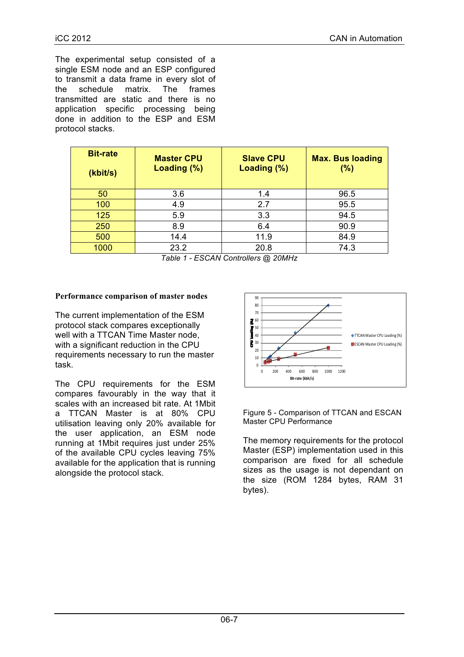The experimental setup consisted of a single ESM node and an ESP configured to transmit a data frame in every slot of the schedule matrix. The frames transmitted are static and there is no application specific processing being done in addition to the ESP and ESM protocol stacks.

| <b>Bit-rate</b><br>(kbit/s) | <b>Master CPU</b><br>Loading (%) | <b>Slave CPU</b><br>Loading (%) | <b>Max. Bus loading</b><br>(%) |
|-----------------------------|----------------------------------|---------------------------------|--------------------------------|
| 50                          | 3.6                              | 1.4                             | 96.5                           |
| 100                         | 4.9                              | 2.7                             | 95.5                           |
| 125                         | 5.9                              | 3.3                             | 94.5                           |
| 250                         | 8.9                              | 6.4                             | 90.9                           |
| 500                         | 14.4                             | 11.9                            | 84.9                           |
| 1000                        | 23.2                             | 20.8                            | 74.3                           |

*Table 1 - ESCAN Controllers @ 20MHz*

#### **Performance comparison of master nodes**

The current implementation of the ESM protocol stack compares exceptionally well with a TTCAN Time Master node, with a significant reduction in the CPU requirements necessary to run the master task.

The CPU requirements for the ESM compares favourably in the way that it scales with an increased bit rate. At 1Mbit a TTCAN Master is at 80% CPU utilisation leaving only 20% available for the user application, an ESM node running at 1Mbit requires just under 25% of the available CPU cycles leaving 75% available for the application that is running alongside the protocol stack.



Figure 5 - Comparison of TTCAN and ESCAN Master CPU Performance

The memory requirements for the protocol Master (ESP) implementation used in this comparison are fixed for all schedule sizes as the usage is not dependant on the size (ROM 1284 bytes, RAM 31 bytes).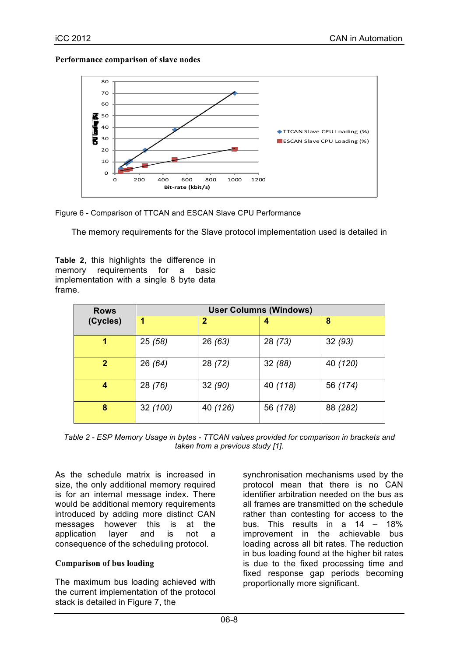#### **Performance comparison of slave nodes**



Figure 6 - Comparison of TTCAN and ESCAN Slave CPU Performance

The memory requirements for the Slave protocol implementation used is detailed in

**Table 2**, this highlights the difference in memory requirements for a basic implementation with a single 8 byte data frame.

| <b>Rows</b>    | <b>User Columns (Windows)</b> |          |          |          |  |
|----------------|-------------------------------|----------|----------|----------|--|
| (Cycles)       | 1                             | 2        | 4        | 8        |  |
| 1              | 25(58)                        | 26(63)   | 28 (73)  | 32(93)   |  |
| $\overline{2}$ | 26(64)                        | 28 (72)  | 32(88)   | 40 (120) |  |
| 4              | 28 (76)                       | 32(90)   | 40 (118) | 56 (174) |  |
| 8              | 32 (100)                      | 40 (126) | 56 (178) | 88 (282) |  |

*Table 2 - ESP Memory Usage in bytes - TTCAN values provided for comparison in brackets and taken from a previous study [1].*

As the schedule matrix is increased in size, the only additional memory required is for an internal message index. There would be additional memory requirements introduced by adding more distinct CAN messages however this is at the application layer and is not a consequence of the scheduling protocol.

#### **Comparison of bus loading**

The maximum bus loading achieved with the current implementation of the protocol stack is detailed in Figure 7, the

synchronisation mechanisms used by the protocol mean that there is no CAN identifier arbitration needed on the bus as all frames are transmitted on the schedule rather than contesting for access to the bus. This results in a 14 – 18% improvement in the achievable bus loading across all bit rates. The reduction in bus loading found at the higher bit rates is due to the fixed processing time and fixed response gap periods becoming proportionally more significant.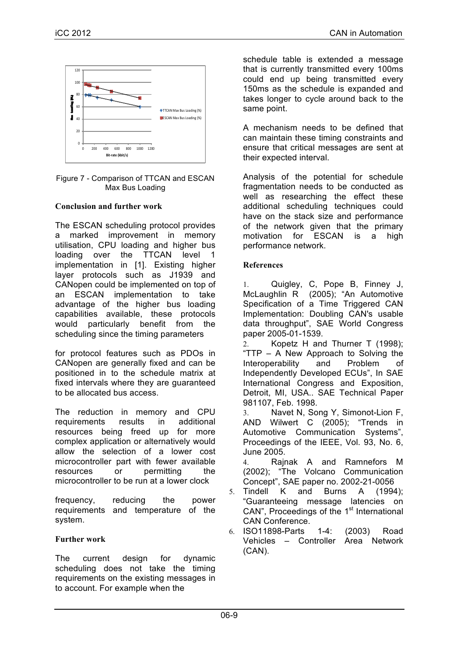



# **Conclusion and further work**

The ESCAN scheduling protocol provides a marked improvement in memory utilisation, CPU loading and higher bus loading over the TTCAN level 1 implementation in [1]. Existing higher layer protocols such as J1939 and CANopen could be implemented on top of an ESCAN implementation to take advantage of the higher bus loading capabilities available, these protocols would particularly benefit from the scheduling since the timing parameters

for protocol features such as PDOs in CANopen are generally fixed and can be positioned in to the schedule matrix at fixed intervals where they are guaranteed to be allocated bus access.

The reduction in memory and CPU requirements results in additional resources being freed up for more complex application or alternatively would allow the selection of a lower cost microcontroller part with fewer available resources or permitting the microcontroller to be run at a lower clock

frequency, reducing the power requirements and temperature of the system.

#### **Further work**

The current design for dynamic scheduling does not take the timing requirements on the existing messages in to account. For example when the

schedule table is extended a message that is currently transmitted every 100ms could end up being transmitted every 150ms as the schedule is expanded and takes longer to cycle around back to the same point.

A mechanism needs to be defined that can maintain these timing constraints and ensure that critical messages are sent at their expected interval.

Analysis of the potential for schedule fragmentation needs to be conducted as well as researching the effect these additional scheduling techniques could have on the stack size and performance of the network given that the primary motivation for ESCAN is a high performance network.

#### **References**

1. Quigley, C, Pope B, Finney J, McLaughlin R (2005); "An Automotive Specification of a Time Triggered CAN Implementation: Doubling CAN's usable data throughput", SAE World Congress paper 2005-01-1539.

2. Kopetz H and Thurner T (1998); "TTP – A New Approach to Solving the Interoperability and Problem of Independently Developed ECUs", In SAE International Congress and Exposition, Detroit, MI, USA.. SAE Technical Paper 981107, Feb. 1998.

3. Navet N, Song Y, Simonot-Lion F, AND Wilwert C (2005); "Trends in Automotive Communication Systems", Proceedings of the IEEE, Vol. 93, No. 6, June 2005.

4. Rajnak A and Ramnefors M (2002); "The Volcano Communication Concept", SAE paper no. 2002-21-0056

- 5. Tindell K and Burns A (1994); "Guaranteeing message latencies on CAN", Proceedings of the 1<sup>st</sup> International CAN Conference.
- 6. ISO11898-Parts 1-4: (2003) Road Vehicles – Controller Area Network (CAN).